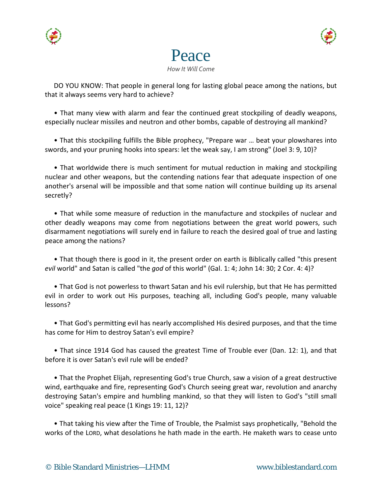





DO YOU KNOW: That people in general long for lasting global peace among the nations, but that it always seems very hard to achieve?

• That many view with alarm and fear the continued great stockpiling of deadly weapons, especially nuclear missiles and neutron and other bombs, capable of destroying all mankind?

• That this stockpiling fulfills the Bible prophecy, "Prepare war … beat your plowshares into swords, and your pruning hooks into spears: let the weak say, I am strong" (Joel 3: 9, 10)?

• That worldwide there is much sentiment for mutual reduction in making and stockpiling nuclear and other weapons, but the contending nations fear that adequate inspection of one another's arsenal will be impossible and that some nation will continue building up its arsenal secretly?

• That while some measure of reduction in the manufacture and stockpiles of nuclear and other deadly weapons may come from negotiations between the great world powers, such disarmament negotiations will surely end in failure to reach the desired goal of true and lasting peace among the nations?

• That though there is good in it, the present order on earth is Biblically called "this present *evil* world" and Satan is called "the *god* of this world" (Gal. 1: 4; John 14: 30; 2 Cor. 4: 4)?

• That God is not powerless to thwart Satan and his evil rulership, but that He has permitted evil in order to work out His purposes, teaching all, including God's people, many valuable lessons?

• That God's permitting evil has nearly accomplished His desired purposes, and that the time has come for Him to destroy Satan's evil empire?

• That since 1914 God has caused the greatest Time of Trouble ever (Dan. 12: 1), and that before it is over Satan's evil rule will be ended?

• That the Prophet Elijah, representing God's true Church, saw a vision of a great destructive wind, earthquake and fire, representing God's Church seeing great war, revolution and anarchy destroying Satan's empire and humbling mankind, so that they will listen to God's "still small voice" speaking real peace (1 Kings 19: 11, 12)?

• That taking his view after the Time of Trouble, the Psalmist says prophetically, "Behold the works of the LORD, what desolations he hath made in the earth. He maketh wars to cease unto